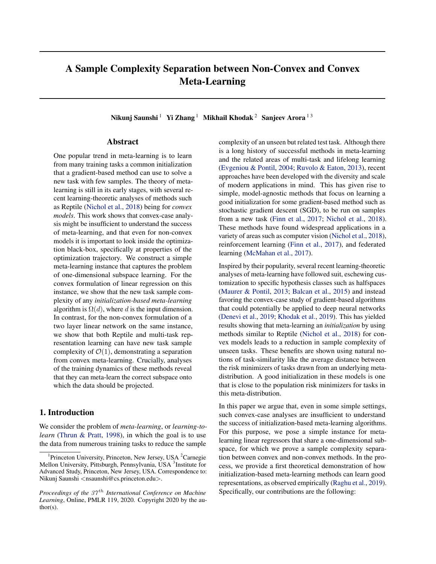# A Sample Complexity Separation between Non-Convex and Convex Meta-Learning

Nikunj Saunshi <sup>1</sup> Yi Zhang <sup>1</sup> Mikhail Khodak <sup>2</sup> Sanjeev Arora <sup>13</sup>

### Abstract

One popular trend in meta-learning is to learn from many training tasks a common initialization that a gradient-based method can use to solve a new task with few samples. The theory of metalearning is still in its early stages, with several recent learning-theoretic analyses of methods such as Reptile [\(Nichol et al.,](#page-9-0) [2018\)](#page-9-0) being for *convex models*. This work shows that convex-case analysis might be insufficient to understand the success of meta-learning, and that even for non-convex models it is important to look inside the optimization black-box, specifically at properties of the optimization trajectory. We construct a simple meta-learning instance that captures the problem of one-dimensional subspace learning. For the convex formulation of linear regression on this instance, we show that the new task sample complexity of any *initialization-based meta-learning* algorithm is  $\Omega(d)$ , where *d* is the input dimension. In contrast, for the non-convex formulation of a two layer linear network on the same instance, we show that both Reptile and multi-task representation learning can have new task sample complexity of  $\mathcal{O}(1)$ , demonstrating a separation from convex meta-learning. Crucially, analyses of the training dynamics of these methods reveal that they can meta-learn the correct subspace onto which the data should be projected.

### 1. Introduction

We consider the problem of *meta-learning*, or *learning-tolearn* [\(Thrun & Pratt,](#page-9-0) [1998\)](#page-9-0), in which the goal is to use the data from numerous training tasks to reduce the sample

complexity of an unseen but related test task. Although there is a long history of successful methods in meta-learning and the related areas of multi-task and lifelong learning [\(Evgeniou & Pontil,](#page-8-0) [2004;](#page-8-0) [Ruvolo & Eaton,](#page-9-0) [2013\)](#page-9-0), recent approaches have been developed with the diversity and scale of modern applications in mind. This has given rise to simple, model-agnostic methods that focus on learning a good initialization for some gradient-based method such as stochastic gradient descent (SGD), to be run on samples from a new task [\(Finn et al.,](#page-8-0) [2017;](#page-8-0) [Nichol et al.,](#page-9-0) [2018\)](#page-9-0). These methods have found widespread applications in a variety of areas such as computer vision [\(Nichol et al.,](#page-9-0) [2018\)](#page-9-0), reinforcement learning [\(Finn et al.,](#page-8-0) [2017\)](#page-8-0), and federated learning [\(McMahan et al.,](#page-9-0) [2017\)](#page-9-0).

Inspired by their popularity, several recent learning-theoretic analyses of meta-learning have followed suit, eschewing customization to specific hypothesis classes such as halfspaces [\(Maurer & Pontil,](#page-9-0) [2013;](#page-9-0) [Balcan et al.,](#page-8-0) [2015\)](#page-8-0) and instead favoring the convex-case study of gradient-based algorithms that could potentially be applied to deep neural networks [\(Denevi et al.,](#page-8-0) [2019;](#page-8-0) [Khodak et al.,](#page-8-0) [2019\)](#page-8-0). This has yielded results showing that meta-learning an *initialization* by using methods similar to Reptile [\(Nichol et al.,](#page-9-0) [2018\)](#page-9-0) for convex models leads to a reduction in sample complexity of unseen tasks. These benefits are shown using natural notions of task-similarity like the average distance between the risk minimizers of tasks drawn from an underlying metadistribution. A good initialization in these models is one that is close to the population risk minimizers for tasks in this meta-distribution.

In this paper we argue that, even in some simple settings, such convex-case analyses are insufficient to understand the success of initialization-based meta-learning algorithms. For this purpose, we pose a simple instance for metalearning linear regressors that share a one-dimensional subspace, for which we prove a sample complexity separation between convex and non-convex methods. In the process, we provide a first theoretical demonstration of how initialization-based meta-learning methods can learn good representations, as observed empirically [\(Raghu et al.,](#page-9-0) [2019\)](#page-9-0). Specifically, our contributions are the following:

<sup>&</sup>lt;sup>1</sup>Princeton University, Princeton, New Jersey, USA <sup>2</sup>Carnegie Mellon University, Pittsburgh, Pennsylvania, USA <sup>3</sup>Institute for Advanced Study, Princeton, New Jersey, USA. Correspondence to: Nikunj Saunshi *<*nsaunshi@cs.princeton.edu*>*.

*Proceedings of the 37 th International Conference on Machine Learning*, Online, PMLR 119, 2020. Copyright 2020 by the author(s).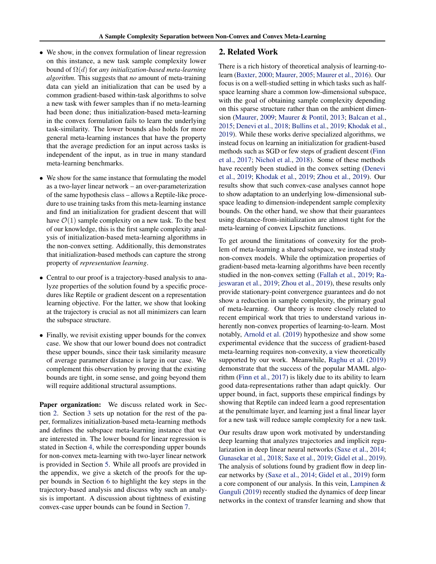- We show, in the convex formulation of linear regression on this instance, a new task sample complexity lower bound of  $\Omega(d)$  for *any initialization-based meta-learning algorithm*. This suggests that *no* amount of meta-training data can yield an initialization that can be used by a common gradient-based within-task algorithms to solve a new task with fewer samples than if no meta-learning had been done; thus initialization-based meta-learning in the convex formulation fails to learn the underlying task-similarity. The lower bounds also holds for more general meta-learning instances that have the property that the average prediction for an input across tasks is independent of the input, as in true in many standard meta-learning benchmarks.
- *•* We show for the same instance that formulating the model as a two-layer linear network – an over-parameterization of the same hypothesis class – allows a Reptile-like procedure to use training tasks from this meta-learning instance and find an initialization for gradient descent that will have  $\mathcal{O}(1)$  sample complexity on a new task. To the best of our knowledge, this is the first sample complexity analysis of initialization-based meta-learning algorithms in the non-convex setting. Additionally, this demonstrates that initialization-based methods can capture the strong property of *representation learning*.
- *•* Central to our proof is a trajectory-based analysis to analyze properties of the solution found by a specific procedures like Reptile or gradient descent on a representation learning objective. For the latter, we show that looking at the trajectory is crucial as not all minimizers can learn the subspace structure.
- *•* Finally, we revisit existing upper bounds for the convex case. We show that our lower bound does not contradict these upper bounds, since their task similarity measure of average parameter distance is large in our case. We complement this observation by proving that the existing bounds are tight, in some sense, and going beyond them will require additional structural assumptions.

Paper organization: We discuss related work in Section 2. Section [3](#page-2-0) sets up notation for the rest of the paper, formalizes initialization-based meta-learning methods and defines the subspace meta-learning instance that we are interested in. The lower bound for linear regression is stated in Section [4,](#page-3-0) while the corresponding upper bounds for non-convex meta-learning with two-layer linear network is provided in Section [5.](#page-4-0) While all proofs are provided in the appendix, we give a sketch of the proofs for the upper bounds in Section [6](#page-5-0) to highlight the key steps in the trajectory-based analysis and discuss why such an analysis is important. A discussion about tightness of existing convex-case upper bounds can be found in Section [7.](#page-6-0)

### 2. Related Work

There is a rich history of theoretical analysis of learning-tolearn [\(Baxter,](#page-8-0) [2000;](#page-8-0) [Maurer,](#page-8-0) [2005;](#page-8-0) [Maurer et al.,](#page-9-0) [2016\)](#page-9-0). Our focus is on a well-studied setting in which tasks such as halfspace learning share a common low-dimensional subspace, with the goal of obtaining sample complexity depending on this sparse structure rather than on the ambient dimension [\(Maurer,](#page-8-0) [2009;](#page-8-0) [Maurer & Pontil,](#page-9-0) [2013;](#page-9-0) [Balcan et al.,](#page-8-0) [2015;](#page-8-0) [Denevi et al.,](#page-8-0) [2018;](#page-8-0) [Bullins et al.,](#page-8-0) [2019;](#page-8-0) [Khodak et al.,](#page-8-0) [2019\)](#page-8-0). While these works derive specialized algorithms, we instead focus on learning an initialization for gradient-based methods such as SGD or few steps of gradient descent [\(Finn](#page-8-0) [et al.,](#page-8-0) [2017;](#page-8-0) [Nichol et al.,](#page-9-0) [2018\)](#page-9-0). Some of these methods have recently been studied in the convex setting [\(Denevi](#page-8-0) [et al.,](#page-8-0) [2019;](#page-8-0) [Khodak et al.,](#page-8-0) [2019;](#page-8-0) [Zhou et al.,](#page-9-0) [2019\)](#page-9-0). Our results show that such convex-case analyses cannot hope to show adaptation to an underlying low-dimensional subspace leading to dimension-independent sample complexity bounds. On the other hand, we show that their guarantees using distance-from-initialization are almost tight for the meta-learning of convex Lipschitz functions.

To get around the limitations of convexity for the problem of meta-learning a shared subspace, we instead study non-convex models. While the optimization properties of gradient-based meta-learning algorithms have been recently studied in the non-convex setting [\(Fallah et al.,](#page-8-0) [2019;](#page-8-0) [Ra](#page-9-0)[jeswaran et al.,](#page-9-0) [2019;](#page-9-0) [Zhou et al.,](#page-9-0) [2019\)](#page-9-0), these results only provide stationary-point convergence guarantees and do not show a reduction in sample complexity, the primary goal of meta-learning. Our theory is more closely related to recent empirical work that tries to understand various inherently non-convex properties of learning-to-learn. Most notably, [Arnold et al.](#page-8-0) [\(2019\)](#page-8-0) hypothesize and show some experimental evidence that the success of gradient-based meta-learning requires non-convexity, a view theoretically supported by our work. Meanwhile, [Raghu et al.](#page-9-0) [\(2019\)](#page-9-0) demonstrate that the success of the popular MAML algorithm [\(Finn et al.,](#page-8-0) [2017\)](#page-8-0) is likely due to its ability to learn good data-representations rather than adapt quickly. Our upper bound, in fact, supports these empirical findings by showing that Reptile can indeed learn a good representation at the penultimate layer, and learning just a final linear layer for a new task will reduce sample complexity for a new task.

Our results draw upon work motivated by understanding deep learning that analyzes trajectories and implicit regularization in deep linear neural networks [\(Saxe et al.,](#page-9-0) [2014;](#page-9-0) [Gunasekar et al.,](#page-8-0) [2018;](#page-8-0) [Saxe et al.,](#page-9-0) [2019;](#page-9-0) [Gidel et al.,](#page-8-0) [2019\)](#page-8-0). The analysis of solutions found by gradient flow in deep linear networks by [\(Saxe et al.,](#page-9-0) [2014;](#page-9-0) [Gidel et al.,](#page-8-0) [2019\)](#page-8-0) form a core component of our analysis. In this vein, [Lampinen &](#page-8-0) [Ganguli](#page-8-0) [\(2019\)](#page-8-0) recently studied the dynamics of deep linear networks in the context of transfer learning and show that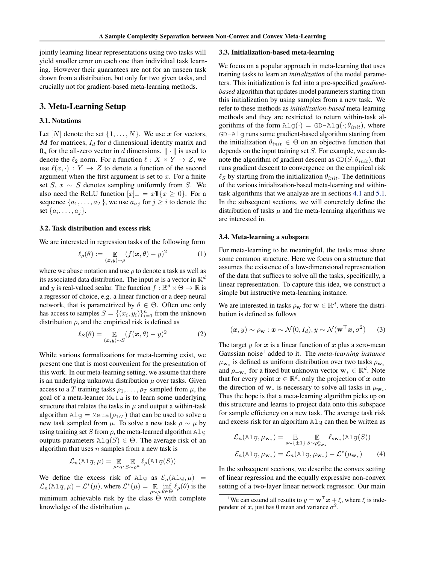<span id="page-2-0"></span>jointly learning linear representations using two tasks will yield smaller error on each one than individual task learning. However their guarantees are not for an unseen task drawn from a distribution, but only for two given tasks, and crucially not for gradient-based meta-learning methods.

### 3. Meta-Learning Setup

### 3.1. Notations

Let  $[N]$  denote the set  $\{1, \ldots, N\}$ . We use *x* for vectors, *M* for matrices, *I<sup>d</sup>* for *d* dimensional identity matrix and  $\mathbf{0}_d$  for the all-zero vector in *d* dimensions.  $\|\cdot\|$  is used to denote the  $\ell_2$  norm. For a function  $\ell : X \times Y \to Z$ , we use  $\ell(x, \cdot) : Y \to Z$  to denote a function of the second argument when the first argument is set to *x*. For a finite set  $S, x \sim S$  denotes sampling uniformly from  $S$ . We also need the ReLU function  $[x]_+ = x \mathbb{1}\{x \ge 0\}$ . For a sequence  $\{a_1, \ldots, a_T\}$ , we use  $a_{i:j}$  for  $j \geq i$  to denote the set  $\{a_i, \ldots, a_j\}$ .

#### 3.2. Task distribution and excess risk

We are interested in regression tasks of the following form

$$
\ell_{\rho}(\theta) := \mathop{\mathbb{E}}_{(\boldsymbol{x}, y) \sim \rho} (f(\boldsymbol{x}, \theta) - y)^2 \tag{1}
$$

where we abuse notation and use  $\rho$  to denote a task as well as its associated data distribution. The input x is a vector in  $\mathbb{R}^d$ and *y* is real-valued scalar. The function  $f : \mathbb{R}^d \times \Theta \to \mathbb{R}$  is a regressor of choice, e.g. a linear function or a deep neural network, that is parametrized by  $\theta \in \Theta$ . Often one only has access to samples  $S = \{(x_i, y_i)\}_{i=1}^n$  from the unknown distribution  $\rho$ , and the empirical risk is defined as

$$
\ell_S(\theta) = \mathop{\mathbb{E}}_{(\boldsymbol{x}, y) \sim S} (f(\boldsymbol{x}, \theta) - y)^2
$$
 (2)

While various formalizations for meta-learning exist, we present one that is most convenient for the presentation of this work. In our meta-learning setting, we assume that there is an underlying unknown distribution  $\mu$  over tasks. Given access to a *T* training tasks  $\rho_1, \ldots, \rho_T$  sampled from  $\mu$ , the goal of a meta-learner Meta is to learn some underlying structure that relates the tasks in  $\mu$  and output a within-task algorithm  $\text{Alg} = \text{Meta}(\rho_{1:T})$  that can be used to solve a new task sampled from  $\mu$ . To solve a new task  $\rho \sim \mu$  by using training set *S* from  $\rho$ , the meta-learned algorithm  $\Delta \log \rho$ outputs parameters  $\text{Alg}(S) \in \Theta$ . The average risk of an algorithm that uses *n* samples from a new task is

$$
\mathcal{L}_n(\mathrm{Alg}, \mu) = \mathop{\mathbb{E}}_{\rho \sim \mu} \mathop{\mathbb{E}}_{S \sim \rho^n} \ell_{\rho}(\mathrm{Alg}(S))
$$

We define the excess risk of Alg as  $\mathcal{E}_n(\text{Alg}, \mu)$  =  $\mathcal{L}_n(\text{Alg}, \mu) - \mathcal{L}^*(\mu)$ , where  $\mathcal{L}^*(\mu) = \mathop{\mathbb{E}}_{\rho \sim \mu}$  $\inf_{\theta \in \Theta} \ell_{\rho}(\theta)$  is the minimum achievable risk by the class  $\Theta$  with complete knowledge of the distribution *µ*.

#### 3.3. Initialization-based meta-learning

We focus on a popular approach in meta-learning that uses training tasks to learn an *initialization* of the model parameters. This initialization is fed into a pre-specified *gradientbased* algorithm that updates model parameters starting from this initialization by using samples from a new task. We refer to these methods as *initialization-based* meta-learning methods and they are restricted to return within-task algorithms of the form  $\text{Alg}(\cdot) = \text{GD-Alg}(\cdot;\theta_{init})$ , where GD-Alg runs some gradient-based algorithm starting from the initialization  $\theta_{init} \in \Theta$  on an objective function that depends on the input training set *S*. For example, we can denote the algorithm of gradient descent as  $GD(S; \theta_{init})$ , that runs gradient descent to convergence on the empirical risk  $\ell_S$  by starting from the initialization  $\theta_{init}$ . The definitions of the various initialization-based meta-learning and withintask algorithms that we analyze are in sections [4.1](#page-3-0) and [5.1.](#page-4-0) In the subsequent sections, we will concretely define the distribution of tasks  $\mu$  and the meta-learning algorithms we are interested in.

### 3.4. Meta-learning a subspace

For meta-learning to be meaningful, the tasks must share some common structure. Here we focus on a structure that assumes the existence of a low-dimensional representation of the data that suffices to solve all the tasks, specifically, a linear representation. To capture this idea, we construct a simple but instructive meta-learning instance.

We are interested in tasks  $\rho_{\mathbf{w}}$  for  $\mathbf{w} \in \mathbb{R}^d$ , where the distribution is defined as follows

$$
(\boldsymbol{x}, y) \sim \rho_{\mathbf{w}} : \boldsymbol{x} \sim \mathcal{N}(0, I_d), y \sim \mathcal{N}(\mathbf{w}^{\top} \boldsymbol{x}, \sigma^2)
$$
 (3)

The target  $y$  for  $x$  is a linear function of  $x$  plus a zero-mean Gaussian noise<sup>1</sup> added to it. The *meta-learning instance*  $\mu_{\mathbf{w}_*}$  is defined as uniform distribution over two tasks  $\rho_{\mathbf{w}_*}$ and  $\rho_{-\mathbf{w}_*}$  for a fixed but unknown vector  $\mathbf{w}_* \in \mathbb{R}^d$ . Note that for every point  $x \in \mathbb{R}^d$ , only the projection of *x* onto the direction of  $w_*$  is necessary to solve all tasks in  $\mu_{w_*}$ . Thus the hope is that a meta-learning algorithm picks up on this structure and learns to project data onto this subspace for sample efficiency on a new task. The average task risk and excess risk for an algorithm Alg can then be written as

$$
\mathcal{L}_n(\text{Alg}, \mu_{\mathbf{w}_*}) = \mathop{\mathbb{E}}_{s \sim \{\pm 1\}} \mathop{\mathbb{E}}_{S \sim \rho_{s \mathbf{w}_*}^n} \ell_{s \mathbf{w}_*}(\text{Alg}(S))
$$
\n
$$
\mathcal{E}_n(\text{Alg}, \mu_{\mathbf{w}_*}) = \mathcal{L}_n(\text{Alg}, \mu_{\mathbf{w}_*}) - \mathcal{L}^*(\mu_{\mathbf{w}_*}) \tag{4}
$$

In the subsequent sections, we describe the convex setting of linear regression and the equally expressive non-convex setting of a two-layer linear network regressor. Our main

<sup>&</sup>lt;sup>1</sup>We can extend all results to  $y = \mathbf{w}^\top x + \xi$ , where  $\xi$  is independent of  $x$ , just has 0 mean and variance  $\sigma^2$ .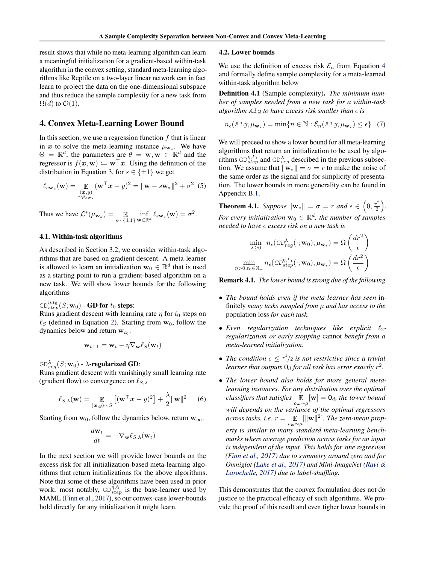<span id="page-3-0"></span>result shows that while no meta-learning algorithm can learn a meaningful initialization for a gradient-based within-task algorithm in the convex setting, standard meta-learning algorithms like Reptile on a two-layer linear network can in fact learn to project the data on the one-dimensional subspace and thus reduce the sample complexity for a new task from  $\Omega(d)$  to  $\mathcal{O}(1)$ .

### 4. Convex Meta-Learning Lower Bound

In this section, we use a regression function *f* that is linear in *x* to solve the meta-learning instance  $\mu_{\mathbf{w}}$ . We have  $\Theta = \mathbb{R}^d$ , the parameters are  $\theta = \mathbf{w}, \mathbf{w} \in \mathbb{R}^d$  and the regressor is  $f(x, w) := w^{\top} x$ . Using the definition of the distribution in Equation [3,](#page-2-0) for  $s \in \{\pm 1\}$  we get

$$
\ell_{s\mathbf{w}_*}(\mathbf{w}) = \mathop{\mathbb{E}}_{\substack{(x,y) \\ \sim \rho_{s\mathbf{w}_*}}} (\mathbf{w}^\top x - y)^2 = \|\mathbf{w} - s\mathbf{w}_*\|^2 + \sigma^2 \tag{5}
$$

Thus we have  $\mathcal{L}^*(\mu_{\mathbf{w}_*}) = \mathop{\mathbb{E}}_{s \sim {\{\pm 1\}}} \inf_{\mathbf{w} \in \mathbb{R}^n}$  $\inf_{\mathbf{w}\in\mathbb{R}^d} \ell_{s\mathbf{w}_*}(\mathbf{w}) = \sigma^2.$ 

#### 4.1. Within-task algorithms

As described in Section [3.2,](#page-2-0) we consider within-task algorithms that are based on gradient descent. A meta-learner is allowed to learn an initialization  $\mathbf{w}_0 \in \mathbb{R}^d$  that is used as a starting point to run a gradient-based algorithm on a new task. We will show lower bounds for the following algorithms

## GD $_{step}^{\eta,t_{0}}(S;\mathbf{w}_{0})$  - **GD for**  $t_{0}$  **steps**:

Runs gradient descent with learning rate  $\eta$  for  $t_0$  steps on  $\ell_S$  (defined in Equation [2\)](#page-2-0). Starting from  $w_0$ , follow the dynamics below and return  $w_{t_0}$ .

$$
\mathbf{w}_{t+1} = \mathbf{w}_t - \eta \nabla_{\mathbf{w}} \ell_S(\mathbf{w}_t)
$$

GD $^{\lambda}_{reg}(S; \mathbf{w}_0)$  -  $\lambda$ **-regularized GD**:

Runs gradient descent with vanishingly small learning rate (gradient flow) to convergence on  $\ell_{S,\lambda}$ 

$$
\ell_{S,\lambda}(\mathbf{w}) = \mathop{\mathbb{E}}_{(\mathbf{x},y)\sim S} \left[ (\mathbf{w}^\top \mathbf{x} - y)^2 \right] + \frac{\lambda}{2} \|\mathbf{w}\|^2 \qquad (6)
$$

Starting from  $w_0$ , follow the dynamics below, return  $w_\infty$ .

$$
\frac{d\mathbf{w}_t}{dt} = -\nabla_{\mathbf{w}} \ell_{S,\lambda}(\mathbf{w}_t)
$$

In the next section we will provide lower bounds on the excess risk for all initialization-based meta-learning algorithms that return initializations for the above algorithms. Note that some of these algorithms have been used in prior work; most notably,  $GD_{step}^{\eta,t_0}$  is the base-learner used by MAML [\(Finn et al.,](#page-8-0) [2017\)](#page-8-0), so our convex-case lower-bounds hold directly for any initialization it might learn.

#### 4.2. Lower bounds

We use the definition of excess risk  $\mathcal{E}_n$  from Equation [4](#page-2-0) and formally define sample complexity for a meta-learned within-task algorithm below

Definition 4.1 (Sample complexity). *The minimum number of samples needed from a new task for a within-task algorithm*  $A \perp \emptyset$  *to have excess risk smaller than*  $\epsilon$  *is* 

$$
n_{\epsilon}(\text{Alg}, \mu_{\mathbf{w}_{*}}) = \min\{n \in \mathbb{N} : \mathcal{E}_{n}(\text{Alg}, \mu_{\mathbf{w}_{*}}) \leq \epsilon\} \quad (7)
$$

We will proceed to show a lower bound for all meta-learning algorithms that return an initialization to be used by algorithms  $G_{step}^{\eta,t_0}$  and  $G_{reg}^{\lambda}$  described in the previous subsection. We assume that  $\|\mathbf{w}_*\| = \sigma = r$  to make the noise of the same order as the signal and for simplicity of presentation. The lower bounds in more generality can be found in Appendix [B.1.](#page--1-0)

**Theorem 4.1.** *Suppose*  $\|\mathbf{w}_*\| = \sigma = r$  *and*  $\epsilon \in \left(0, \frac{r^2}{2}\right)$ ⌘ *. For every initialization*  $\mathbf{w}_0 \in \mathbb{R}^d$ *, the number of samples needed to have* ✏ *excess risk on a new task is*

$$
\min_{\lambda \geq 0} \quad n_{\epsilon}(\mathit{GD}_{reg}^{\lambda}(\cdot; \mathbf{w}_{0}), \mu_{\mathbf{w}_{*}}) = \Omega\left(\frac{dr^{2}}{\epsilon}\right)
$$
\n
$$
\min_{\eta > 0, t_{0} \in \mathbb{N}_{+}} n_{\epsilon}(\mathit{GD}_{step}^{\eta, t_{0}}(\cdot; \mathbf{w}_{0}), \mu_{\mathbf{w}_{*}}) = \Omega\left(\frac{dr^{2}}{\epsilon}\right)
$$

Remark 4.1. *The lower bound is strong due of the following*

- *• The bound holds even if the meta learner has seen* infinitely *many tasks sampled from µ and has access to the* population loss *for each task.*
- *Even regularization techniques like explicit*  $\ell_2$ *regularization or early stopping* cannot *benefit from a meta-learned initialization.*
- *The condition*  $\epsilon \leq r^2/2$  *is not restrictive since a trivial learner that outputs*  $\mathbf{0}_d$  *for all task has error exactly*  $r^2$ *.*
- *• The lower bound also holds for more general metalearning instances. For any distribution over the optimal classifiers that satisfies*  $\mathbb{E} \left[ \mathbf{w} \right] = \mathbf{0}_d$ *, the lower bound* ⇢w⇠*µ will depends on the variance of the optimal regressors across tasks, i.e.*  $r = \mathbb{E}_{\rho_{\mathbf{w}} \sim \mu}[\|\mathbf{w}\|^2]$ *. The zero-mean property is similar to many standard meta-learning benchmarks where average prediction across tasks for an input is independent of the input. This holds for sine regression [\(Finn et al.,](#page-8-0) [2017\)](#page-8-0) due to symmetry around zero and for Omniglot [\(Lake et al.,](#page-8-0) [2017\)](#page-8-0) and Mini-ImageNet [\(Ravi &](#page-9-0) [Larochelle,](#page-9-0) [2017\)](#page-9-0) due to label-shuffling.*

This demonstrates that the convex formulation does not do justice to the practical efficacy of such algorithms. We provide the proof of this result and even tigher lower bounds in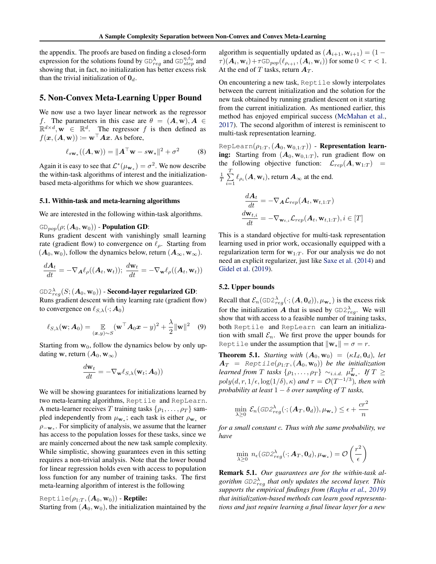<span id="page-4-0"></span>the appendix. The proofs are based on finding a closed-form expression for the solutions found by  $GD_{reg}^{\lambda}$  and  $GD_{step}^{\eta,t_0}$  and showing that, in fact, no initialization has better excess risk than the trivial initialization of  $\mathbf{0}_d$ .

### 5. Non-Convex Meta-Learning Upper Bound

We now use a two layer linear network as the regressor *f*. The parameters in this case are  $\theta = (A, w), A \in$  $\mathbb{R}^{d \times d}$ ,  $\mathbf{w} \in \mathbb{R}^{d}$ . The regressor *f* is then defined as  $f(x, (A, w)) \coloneqq w^{\top} A x$ . As before,

$$
\ell_{s\mathbf{w}_*}((\mathbf{A}, \mathbf{w})) = \|\mathbf{A}^\top \mathbf{w} - s\mathbf{w}_*\|^2 + \sigma^2 \tag{8}
$$

Again it is easy to see that  $\mathcal{L}^*(\mu_{\mathbf{w}_*}) = \sigma^2$ . We now describe the within-task algorithms of interest and the initializationbased meta-algorithms for which we show guarantees.

#### 5.1. Within-task and meta-learning algorithms

We are interested in the following within-task algorithms.

### $GD_{pop}(\rho; (A_0, w_0))$  - Population GD:

Runs gradient descent with vanishingly small learning rate (gradient flow) to convergence on  $\ell_{\rho}$ . Starting from  $(A_0, w_0)$ , follow the dynamics below, return  $(A_\infty, w_\infty)$ .

$$
\frac{d\mathbf{A}_t}{dt} = -\nabla_{\mathbf{A}} \ell_{\rho}((\mathbf{A}_t, \mathbf{w}_t)); \frac{d\mathbf{w}_t}{dt} = -\nabla_{\mathbf{w}} \ell_{\rho}((\mathbf{A}_t, \mathbf{w}_t))
$$

GD2 $^{\lambda}_{reg}(S;(\boldsymbol{A}_0,\mathbf{w}_0))$  - **Second-layer regularized GD**: Runs gradient descent with tiny learning rate (gradient flow) to convergence on  $\ell_{S,\lambda}(\cdot; A_0)$ 

$$
\ell_{S,\lambda}(\mathbf{w};\mathbf{A}_0) = \mathop{\mathbb{E}}_{(\mathbf{x},y)\sim S} (\mathbf{w}^\top \mathbf{A}_0 \mathbf{x} - y)^2 + \frac{\lambda}{2} ||\mathbf{w}||^2 \quad (9)
$$

Starting from  $w_0$ , follow the dynamics below by only updating **w**, return  $(A_0, \mathbf{w}_{\infty})$ 

$$
\frac{d\mathbf{w}_t}{dt} = -\nabla_{\mathbf{w}} \ell_{S,\lambda}(\mathbf{w}_t; \mathbf{A}_0))
$$

We will be showing guarantees for initializations learned by two meta-learning algorithms, Reptile and RepLearn. A meta-learner receives *T* training tasks  $\{\rho_1, \ldots, \rho_T\}$  sampled independently from  $\mu_{\mathbf{w}_*}$ ; each task is either  $\rho_{\mathbf{w}_*}$  or  $\rho_{-\mathbf{w}_*}$ . For simplicity of analysis, we assume that the learner has access to the population losses for these tasks, since we are mainly concerned about the new task sample complexity. While simplistic, showing guarantees even in this setting requires a non-trivial analysis. Note that the lower bound for linear regression holds even with access to population loss function for any number of training tasks. The first meta-learning algorithm of interest is the following

### Reptile( $\rho_{1:T}$ ,  $(A_0, w_0)$ ) - **Reptile:**

Starting from  $(A_0, w_0)$ , the initialization maintained by the

algorithm is sequentially updated as  $(A_{i+1}, w_{i+1}) = (1 (\tau)(\mathbf{A}_i, \mathbf{w}_i) + \tau \text{GD}_{pop}(\ell_{\rho_{i+1}}, (\mathbf{A}_i, \mathbf{w}_i))$  for some  $0 < \tau < 1$ . At the end of *T* tasks, return *A<sup>T</sup>* .

On encountering a new task, Reptile slowly interpolates between the current initialization and the solution for the new task obtained by running gradient descent on it starting from the current initialization. As mentioned earlier, this method has enjoyed empirical success [\(McMahan et al.,](#page-9-0) [2017\)](#page-9-0). The second algorithm of interest is reminiscent to multi-task representation learning.

RepLearn $(\rho_{1:T},(\boldsymbol{A}_0,\mathbf{w}_{0,1:T}))$  - Representation learning: Starting from  $(A_0, w_{0,1:T})$ , run gradient flow on the following objective function:  $\mathcal{L}_{rep}(\mathbf{A}, \mathbf{w}_{1:T})$  = *T*

$$
\frac{1}{T} \sum_{i=1}^T \ell_{\rho_i}(\boldsymbol{A}, \mathbf{w}_i), \text{ return } \boldsymbol{A}_{\infty} \text{ at the end.}
$$

$$
\begin{aligned} \frac{d\boldsymbol{A}_{t}}{dt} &= -\nabla_{\boldsymbol{A}} \mathcal{L}_{rep}(\boldsymbol{A}_{t}, \mathbf{w}_{t,1:T})\\ \frac{d\mathbf{w}_{t,i}}{dt} &= -\nabla_{\mathbf{w}_{t,i}} \mathcal{L}_{rep}(\boldsymbol{A}_{t}, \mathbf{w}_{t,1:T}), i \in [T] \end{aligned}
$$

This is a standard objective for multi-task representation learning used in prior work, occasionally equipped with a regularization term for  $w_{1:T}$ . For our analysis we do not need an explicit regularizer, just like [Saxe et al.](#page-9-0) [\(2014\)](#page-9-0) and [Gidel et al.](#page-8-0) [\(2019\)](#page-8-0).

#### 5.2. Upper bounds

Recall that  $\mathcal{E}_n(\text{GD2}_{reg}^{\lambda}(\cdot; (A, \mathbf{0}_d)), \mu_{\mathbf{w}_*})$  is the excess risk for the initialization A that is used by  $GDD2_{reg}^{\lambda}$ . We will show that with access to a feasible number of training tasks, both Reptile and RepLearn can learn an initialization with small  $\mathcal{E}_n$ . We first prove the upper bounds for Reptile under the assumption that  $\|\mathbf{w}_*\| = \sigma = r$ .

**Theorem 5.1.** *Starting with*  $(A_0, w_0) = (\kappa I_d, 0_d)$ *, let*  $A_T$  = *Reptile*( $\rho_{1:T}$ *,*( $A_0$ *,w<sub>0</sub>)) be the initialization learned from T tasks*  $\{\rho_1, \ldots, \rho_T\}$   $\sim_{i.i.d.} \mu_{\mathbf{w}_*}^T$ . If  $T \geq$  $poly(d, r, 1/\epsilon, \log(1/\delta), \kappa)$  *and*  $\tau = \mathcal{O}(T^{-1/3})$ *, then with probability at least*  $1 - \delta$  *over sampling of*  $T$  *tasks,* 

$$
\min_{\lambda \geq 0} \mathcal{E}_n(\text{GD2}_{reg}^{\lambda}(\cdot; (\boldsymbol{A}_T, \boldsymbol{0}_d)), \mu_{\mathbf{w}_*}) \leq \epsilon + \frac{cr^2}{n}
$$

*for a small constant c. Thus with the same probability, we have*

$$
\min_{\lambda \geq 0} n_{\epsilon}(\text{GD2}_{reg}^{\lambda}(\cdot; \mathbf{A}_T, \mathbf{0}_d), \mu_{\mathbf{w}_*}) = \mathcal{O}\left(\frac{r^2}{\epsilon}\right)
$$

Remark 5.1. *Our guarantees are for the within-task algorithm GD2 reg that only updates the second layer. This supports the empirical findings from [\(Raghu et al.,](#page-9-0) [2019\)](#page-9-0) that initialization-based methods can learn good representations and just require learning a final linear layer for a new*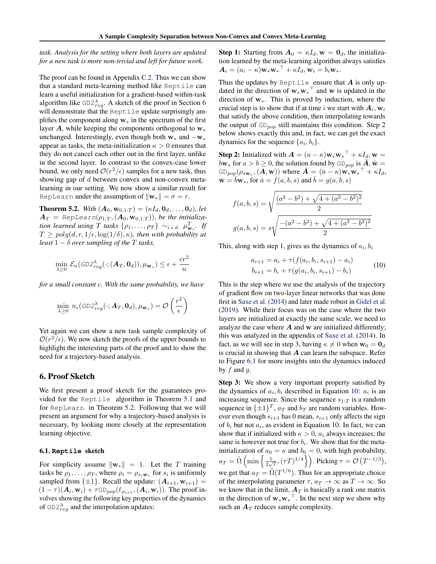<span id="page-5-0"></span>*task. Analysis for the setting where both layers are updated for a new task is more non-trivial and left for future work.*

The proof can be found in Appendix [C.2.](#page--1-0) Thus we can show that a standard meta-learning method like Reptile can learn a useful initialization for a gradient-based within-task algorithm like  $GD2_{reg}^{\lambda}$ . A sketch of the proof in Section 6 will demonstrate that the Reptile update surprisingly amplifies the component along  $w_*$  in the spectrum of the first layer  $A$ , while keeping the components orthogonal to  $w_*$ unchanged. Interestingly, even though both  $w_*$  and  $-w_*$ appear as tasks, the meta-initialization  $\kappa > 0$  ensures that they do not cancel each other out in the first layer, unlike in the second layer. In contrast to the convex-case lower bound, we only need  $O(r^2/\epsilon)$  samples for a new task, thus showing gap of *d* between convex and non-convex metalearning in our setting. We now show a similar result for RepLearn under the assumption of  $\|\mathbf{w}_*\| = \sigma = r$ .

**Theorem 5.2.** *With*  $(A_0, w_{0,1:T}) = (\kappa I_d, \mathbf{0}_d, \dots, \mathbf{0}_d)$ *, let*  $A_T$  = RepLearn $(\rho_{1:T}, (A_0, w_{0,1:T}))$ *, be the initialization learned using T tasks*  $\{\rho_1, \ldots, \rho_T\} \sim_{i.i.d.} \mu_{\mathbf{w}_*}^T$ . If  $T \geq poly(d, r, 1/\epsilon, \log(1/\delta), \kappa)$ *, then with probability at least*  $1 - \delta$  *over sampling of the T tasks,* 

$$
\min_{\lambda \geq 0} \mathcal{E}_n(\textit{GD2}_{reg}^{\lambda}(\cdot; (\boldsymbol{A}_T, \boldsymbol{0}_d)), \mu_{\mathbf{w}_*}) \leq \epsilon + \frac{cr^2}{n}
$$

*for a small constant c. With the same probability, we have*

$$
\min_{\lambda \geq 0} n_{\epsilon}(\text{GD2}_{reg}^{\lambda}(\cdot; \mathbf{A}_T, \mathbf{0}_d), \mu_{\mathbf{w}_*}) = \mathcal{O}\left(\frac{r^2}{\epsilon}\right)
$$

Yet again we can show a new task sample complexity of  $O(r^2/\epsilon)$ . We now sketch the proofs of the upper bounds to highlight the interesting parts of the proof and to show the need for a trajectory-based analysis.

### 6. Proof Sketch

We first present a proof sketch for the guarantees provided for the Reptile algorithm in Theorem [5.1](#page-4-0) and for RepLearn in Theorem 5.2. Following that we will present an argument for why a trajectory-based analysis is necessary, by looking more closely at the representation learning objective.

#### 6.1. **Reptile** sketch

For simplicity assume  $\|\mathbf{w}_*\| = 1$ . Let the *T* training tasks be  $\rho_1, \ldots, \rho_T$ , where  $\rho_i = \rho_{s_i w_*}$  for  $s_i$  is uniformly sampled from  $\{\pm 1\}$ . Recall the update:  $(A_{i+1}, w_{i+1}) =$  $(1 - \tau)(\mathbf{A}_i, \mathbf{w}_i) + \tau \text{GD}_{pop}(\ell_{\rho_{i+1}}, \mathbf{A}_i, \mathbf{w}_i)$ . The proof involves showing the following key properties of the dynamics of  $GD2_{reg}^{\lambda}$  and the interpolation updates:

**Step 1:** Starting from  $A_0 = \kappa I_d$ ,  $w = 0_d$ , the initialization learned by the meta-learning algorithm always satisfies  $\mathbf{A}_i = (a_i - \kappa) \mathbf{w}_* \mathbf{w}_* + \kappa I_d, \mathbf{w}_i = b_i \mathbf{w}_*.$ 

Thus the updates by Reptile ensure that *A* is only updated in the direction of  $\mathbf{w}_*\mathbf{w}_*$ <sup> $\perp$ </sup> and w is updated in the direction of  $w_*$ . This is proved by induction, where the crucial step is to show that if at time *i* we start with  $A_i$ ,  $w_i$ that satisfy the above condition, then interpolating towards the output of GD*pop* still maintains this condition. Step 2 below shows exactly this and, in fact, we can get the exact dynamics for the sequence  $\{a_i, b_i\}$ .

**Step 2:** Initialized with  $\mathbf{A} = (a - \kappa)\mathbf{w}_*\mathbf{w}_*^{\top} + \kappa I_d$ ,  $\mathbf{w} =$  $b\mathbf{w}_*$  for  $a > b \geq 0$ , the solution found by  $GD_{pop}$  is  $\overline{\mathbf{A}}, \overline{\mathbf{w}} =$  $G\text{D}_{pop}(\rho_{s\mathbf{w}_*},(\boldsymbol{A},\mathbf{w}))$  where  $\bar{\boldsymbol{A}} = (\bar{a} - \kappa)\mathbf{w}_*\mathbf{w}_*^\top + \kappa I_d$ ,  $\bar{\mathbf{w}} = \bar{b}\mathbf{w}_*,$  for  $\bar{a} = f(a, b, s)$  and  $\bar{b} = g(a, b, s)$ 

$$
f(a, b, s) = \sqrt{\frac{(a^2 - b^2) + \sqrt{4 + (a^2 - b^2)^2}}{2}}
$$

$$
g(a, b, s) = s\sqrt{\frac{-(a^2 - b^2) + \sqrt{4 + (a^2 - b^2)^2}}{2}}
$$

This, along with step 1, gives us the dynamics of  $a_i, b_i$ 

$$
a_{i+1} = a_i + \tau(f(a_i, b_i, s_{i+1}) - a_i)
$$
  
\n
$$
b_{i+1} = b_i + \tau(g(a_i, b_i, s_{i+1}) - b_i)
$$
\n(10)

This is the step where we use the analysis of the trajectory of gradient flow on two-layer linear networks that was done first in [Saxe et al.](#page-9-0) [\(2014\)](#page-9-0) and later made robust in [Gidel et al.](#page-8-0) [\(2019\)](#page-8-0). While their focus was on the case where the two layers are initialized at exactly the same scale, we need to analyze the case where *A* and w are initialized differently; this was analyzed in the appendix of [Saxe et al.](#page-9-0) [\(2014\)](#page-9-0). In fact, as we will see in step 3, having  $\kappa \neq 0$  when  $\mathbf{w}_0 = \mathbf{0}_d$ is crucial in showing that *A* can learn the subspace. Refer to Figure 6.1 for more insights into the dynamics induced by *f* and *g*.

Step 3: We show a very important property satisfied by the dynamics of  $a_i, b_i$  described in Equation 10:  $a_i$  is an increasing sequence. Since the sequence  $s_{1:T}$  is a random sequence in  $\{\pm 1\}^T$ ,  $a_T$  and  $b_T$  are random variables. However even though  $s_{i+1}$  has 0 mean,  $s_{i+1}$  only affects the sign of  $b_i$  but not  $a_i$ , as evident in Equation 10. In fact, we can show that if initialized with  $\kappa > 0$ ,  $a_i$  always increases; the same is however not true for  $b_i$ . We show that for the metainitialization of  $a_0 = \kappa$  and  $b_0 = 0$ , with high probability,  $a_T = \tilde{\Omega}\left(\min\left\{\frac{1}{2\sqrt{\tau}}, (\tau T)^{1/4}\right\}\right)$ . Picking  $\tau = \mathcal{O}\left(T^{-1/3}\right)$ , we get that  $a_T = \tilde{\Omega}(T^{1/6})$ . Thus for an appropriate choice of the interpolating parameter  $\tau$ ,  $a_T \to \infty$  as  $T \to \infty$ . So we know that in the limit,  $A_T$  is basically a rank one matrix in the direction of  $w_*w_*$ <sup> $\perp$ </sup>. In the next step we show why such an  $A_T$  reduces sample complexity.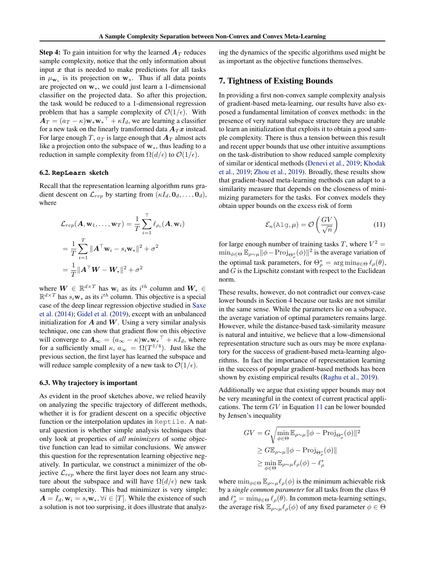<span id="page-6-0"></span>**Step 4:** To gain intuition for why the learned  $A_T$  reduces sample complexity, notice that the only information about input  $x$  that is needed to make predictions for all tasks in  $\mu_{\mathbf{w}_*}$  is its projection on  $\mathbf{w}_*$ . Thus if all data points are projected on  $w$ , we could just learn a 1-dimensional classifier on the projected data. So after this projection, the task would be reduced to a 1-dimensional regression problem that has a sample complexity of  $\mathcal{O}(1/\epsilon)$ . With  $A_T = (a_T - \kappa) \mathbf{w}_* \mathbf{w}_* + \kappa I_d$ , we are learning a classifier for a new task on the linearly transformed data  $A_T x$  instead. For large enough *T*,  $a_T$  is large enough that  $A_T$  almost acts like a projection onto the subspace of  $w_*,$  thus leading to a reduction in sample complexity from  $\Omega(d/\epsilon)$  to  $\mathcal{O}(1/\epsilon)$ .

#### 6.2. **RepLearn** sketch

Recall that the representation learning algorithm runs gradient descent on  $\mathcal{L}_{rep}$  by starting from  $(\kappa I_d, \mathbf{0}_d, \dots, \mathbf{0}_d)$ , where

$$
\mathcal{L}_{rep}(\mathbf{A}, \mathbf{w}_1, \dots, \mathbf{w}_T) = \frac{1}{T} \sum_{i=1}^T \ell_{\rho_i}(\mathbf{A}, \mathbf{w}_i)
$$
  
= 
$$
\frac{1}{T} \sum_{i=1}^T ||\mathbf{A}^\top \mathbf{w}_i - s_i \mathbf{w}_*||^2 + \sigma^2
$$
  
= 
$$
\frac{1}{T} ||\mathbf{A}^\top \mathbf{W} - \mathbf{W}_*||^2 + \sigma^2
$$

where  $W \in \mathbb{R}^{d \times T}$  has  $w_i$  as its  $i^{th}$  column and  $W_* \in$  $\mathbb{R}^{d \times T}$  has  $s_i \mathbf{w}_*$  as its  $i^{th}$  column. This objective is a special case of the deep linear regression objective studied in [Saxe](#page-9-0) [et al.](#page-9-0) [\(2014\)](#page-9-0); [Gidel et al.](#page-8-0) [\(2019\)](#page-8-0), except with an unbalanced initialization for  $A$  and  $W$ . Using a very similar analysis technique, one can show that gradient flow on this objective will converge to  $\mathbf{A}_{\infty} = (a_{\infty} - \kappa) \mathbf{w}_{*} \mathbf{w}_{*}^{\top} + \kappa I_{d}$ , where for a sufficiently small  $\kappa$ ,  $a_{\infty} = \Omega(T^{1/4})$ . Just like the previous section, the first layer has learned the subspace and will reduce sample complexity of a new task to  $\mathcal{O}(1/\epsilon)$ .

#### 6.3. Why trajectory is important

As evident in the proof sketches above, we relied heavily on analyzing the specific trajectory of different methods, whether it is for gradient descent on a specific objective function or the interpolation updates in Reptile. A natural question is whether simple analysis techniques that only look at properties of *all minimizers* of some objective function can lead to similar conclusions. We answer this question for the representation learning objective negatively. In particular, we construct a minimizer of the objective  $\mathcal{L}_{rep}$  where the first layer does not learn any structure about the subspace and will have  $\Omega(d/\epsilon)$  new task sample complexity. This bad minimizer is very simple:  $A = I_d$ ,  $\mathbf{w}_i = s_i \mathbf{w}_*, \forall i \in [T]$ . While the existence of such a solution is not too surprising, it does illustrate that analyzing the dynamics of the specific algorithms used might be as important as the objective functions themselves.

### 7. Tightness of Existing Bounds

In providing a first non-convex sample complexity analysis of gradient-based meta-learning, our results have also exposed a fundamental limitation of convex methods: in the presence of very natural subspace structure they are unable to learn an initialization that exploits it to obtain a good sample complexity. There is thus a tension between this result and recent upper bounds that use other intuitive assumptions on the task-distribution to show reduced sample complexity of similar or identical methods [\(Denevi et al.,](#page-8-0) [2019;](#page-8-0) [Khodak](#page-8-0) [et al.,](#page-8-0) [2019;](#page-8-0) [Zhou et al.,](#page-9-0) [2019\)](#page-9-0). Broadly, these results show that gradient-based meta-learning methods can adapt to a similarity measure that depends on the closeness of minimizing parameters for the tasks. For convex models they obtain upper bounds on the excess risk of form

$$
\mathcal{E}_n(\text{Alg}, \mu) = \mathcal{O}\left(\frac{GV}{\sqrt{n}}\right) \tag{11}
$$

for large enough number of training tasks *T*, where  $V^2$  =  $\min_{\phi \in \Theta} \mathbb{E}_{\rho \sim \mu} ||\phi - \text{Proj}_{\Theta_{\rho}^{*}}(\phi)||^{2}$  is the average variation of the optimal task parameters, for  $\Theta_{\rho}^* = \arg \min_{\theta \in \Theta} \ell_{\rho}(\theta)$ , and *G* is the Lipschitz constant with respect to the Euclidean norm.

These results, however, do not contradict our convex-case lower bounds in Section [4](#page-3-0) because our tasks are not similar in the same sense. While the parameters lie on a subspace, the average variation of optimal parameters remains large. However, while the distance-based task-similarity measure is natural and intuitive, we believe that a low-dimensional representation structure such as ours may be more explanatory for the success of gradient-based meta-learning algorithms. In fact the importance of representation learning in the success of popular gradient-based methods has been shown by existing empirical results [\(Raghu et al.,](#page-9-0) [2019\)](#page-9-0).

Additionally we argue that existing upper bounds may not be very meaningful in the context of current practical applications. The term *GV* in Equation 11 can be lower bounded by Jensen's inequality

$$
GV = G \sqrt{\min_{\phi \in \Theta} \mathbb{E}_{\rho \sim \mu} ||\phi - \text{Proj}_{\Theta_{\rho}^*}(\phi)||^2}
$$
  
\n
$$
\geq G \mathbb{E}_{\rho \sim \mu} ||\phi - \text{Proj}_{\Theta_{\rho}^*}(\phi)||
$$
  
\n
$$
\geq \min_{\phi \in \Theta} \mathbb{E}_{\rho \sim \mu} \ell_{\rho}(\phi) - \ell_{\rho}^*
$$

where  $\min_{\phi \in \Theta} \mathbb{E}_{\rho \sim \mu} \ell_{\rho}(\phi)$  is the minimum achievable risk by a *single common parameter* for all tasks from the class  $\Theta$ and  $\ell_{\rho}^* = \min_{\theta \in \Theta} \ell_{\rho}(\theta)$ . In common meta-learning settings, the average risk  $\mathbb{E}_{\rho\sim\mu}\ell_{\rho}(\phi)$  of any fixed parameter  $\phi \in \Theta$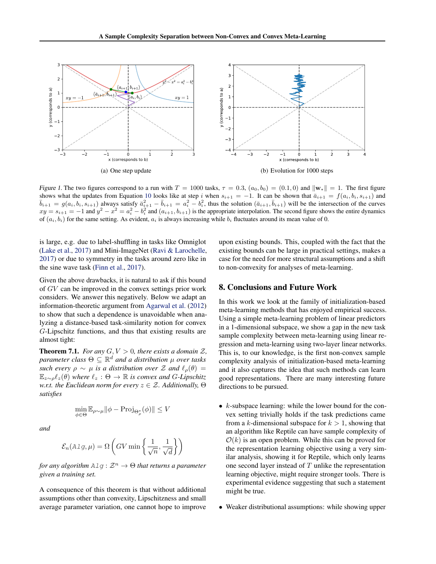

*Figure 1.* The two figures correspond to a run with  $T = 1000$  tasks,  $\tau = 0.3$ ,  $(a_0, b_0) = (0.1, 0)$  and  $\|\mathbf{w}_*\| = 1$ . The first figure shows what the updates from Equation 10 looks like at step *i* when  $s_{i+1} = -1$ . It shows what the updates from Equation [10](#page-5-0) looks like at step *i* when  $s_{i+1} = -1$ . It can be shown that  $\bar{a}_{i+1} = f(a_i, b_i, s_{i+1})$  and  $\bar{b}_{i+1} = g(a_i, b_i, s_{i+1})$  always satisfy  $\bar{a}_{i+1}^2 - \bar{b}_{i+1} = a_i^2 - b_i^2$ , thus the solu  $xy = s_{i+1} = -1$  and  $y^2 - x^2 = a_i^2 - b_i^2$  and  $(a_{i+1}, b_{i+1})$  is the appropriate interpolation. The second figure shows the entire dynamics of  $(a_i, b_i)$  for the same setting. As evident,  $a_i$  is always increasing while  $b_i$  fluctuates around its mean value of 0.

is large, e.g. due to label-shuffling in tasks like Omniglot [\(Lake et al.,](#page-8-0) [2017\)](#page-8-0) and Mini-ImageNet [\(Ravi & Larochelle,](#page-9-0) [2017\)](#page-9-0) or due to symmetry in the tasks around zero like in the sine wave task [\(Finn et al.,](#page-8-0) [2017\)](#page-8-0).

Given the above drawbacks, it is natural to ask if this bound of *GV* can be improved in the convex settings prior work considers. We answer this negatively. Below we adapt an information-theoretic argument from [Agarwal et al.](#page-8-0) [\(2012\)](#page-8-0) to show that such a dependence is unavoidable when analyzing a distance-based task-similarity notion for convex *G*-Lipschitz functions, and thus that existing results are almost tight:

**Theorem 7.1.** *For any*  $G, V > 0$ *, there exists a domain*  $\mathcal{Z}$ *, parameter class*  $\Theta \subseteq \mathbb{R}^d$  *and a distribution*  $\mu$  *over tasks such every*  $\rho \sim \mu$  *is a distribution over*  $\mathcal Z$  *and*  $\ell_{\rho}(\theta) =$  $\mathbb{E}_{z \sim \rho} \ell_z(\theta)$  *where*  $\ell_z : \Theta \to \mathbb{R}$  *is convex and G-Lipschitz w.r.t. the Euclidean norm for every*  $z \in \mathcal{Z}$ *. Additionally,*  $\Theta$ *satisfies*

$$
\min_{\phi \in \Theta} \mathbb{E}_{\rho \sim \mu} ||\phi - \text{Proj}_{\Theta_{\rho}^*}(\phi)|| \le V
$$

*and*

$$
\mathcal{E}_n(A \text{lg}, \mu) = \Omega \left( GV \min \left\{ \frac{1}{\sqrt{n}}, \frac{1}{\sqrt{d}} \right\} \right)
$$

*for any algorithm*  $\text{Alg}(A) \colon \mathcal{Z}^n \to \Theta$  *that returns a parameter given a training set.*

A consequence of this theorem is that without additional assumptions other than convexity, Lipschitzness and small average parameter variation, one cannot hope to improve upon existing bounds. This, coupled with the fact that the existing bounds can be large in practical settings, makes a case for the need for more structural assumptions and a shift to non-convexity for analyses of meta-learning.

### 8. Conclusions and Future Work

In this work we look at the family of initialization-based meta-learning methods that has enjoyed empirical success. Using a simple meta-learning problem of linear predictors in a 1-dimensional subspace, we show a gap in the new task sample complexity between meta-learning using linear regression and meta-learning using two-layer linear networks. This is, to our knowledge, is the first non-convex sample complexity analysis of initialization-based meta-learning and it also captures the idea that such methods can learn good representations. There are many interesting future directions to be pursued.

- *• k*-subspace learning: while the lower bound for the convex setting trivially holds if the task predictions came from a *k*-dimensional subspace for  $k > 1$ , showing that an algorithm like Reptile can have sample complexity of  $O(k)$  is an open problem. While this can be proved for the representation learning objective using a very similar analysis, showing it for Reptile, which only learns one second layer instead of *T* unlike the representation learning objective, might require stronger tools. There is experimental evidence suggesting that such a statement might be true.
- *•* Weaker distributional assumptions: while showing upper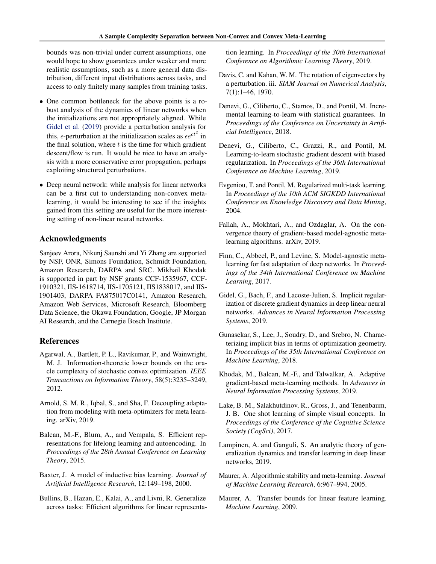<span id="page-8-0"></span>bounds was non-trivial under current assumptions, one would hope to show guarantees under weaker and more realistic assumptions, such as a more general data distribution, different input distributions across tasks, and access to only finitely many samples from training tasks.

- *•* One common bottleneck for the above points is a robust analysis of the dynamics of linear networks when the initializations are not appropriately aligned. While Gidel et al. (2019) provide a perturbation analysis for this,  $\epsilon$ -perturbation at the initialization scales as  $\epsilon e^{ct^2}$  in the final solution, where *t* is the time for which gradient descent/flow is run. It would be nice to have an analysis with a more conservative error propagation, perhaps exploiting structured perturbations.
- *•* Deep neural network: while analysis for linear networks can be a first cut to understanding non-convex metalearning, it would be interesting to see if the insights gained from this setting are useful for the more interesting setting of non-linear neural networks.

### Acknowledgments

Sanjeev Arora, Nikunj Saunshi and Yi Zhang are supported by NSF, ONR, Simons Foundation, Schmidt Foundation, Amazon Research, DARPA and SRC. Mikhail Khodak is supported in part by NSF grants CCF-1535967, CCF-1910321, IIS-1618714, IIS-1705121, IIS1838017, and IIS-1901403, DARPA FA875017C0141, Amazon Research, Amazon Web Services, Microsoft Research, Bloomberg Data Science, the Okawa Foundation, Google, JP Morgan AI Research, and the Carnegie Bosch Institute.

### References

- Agarwal, A., Bartlett, P. L., Ravikumar, P., and Wainwright, M. J. Information-theoretic lower bounds on the oracle complexity of stochastic convex optimization. *IEEE Transactions on Information Theory*, 58(5):3235–3249, 2012.
- Arnold, S. M. R., Iqbal, S., and Sha, F. Decoupling adaptation from modeling with meta-optimizers for meta learning. arXiv, 2019.
- Balcan, M.-F., Blum, A., and Vempala, S. Efficient representations for lifelong learning and autoencoding. In *Proceedings of the 28th Annual Conference on Learning Theory*, 2015.
- Baxter, J. A model of inductive bias learning. *Journal of Artificial Intelligence Research*, 12:149–198, 2000.
- Bullins, B., Hazan, E., Kalai, A., and Livni, R. Generalize across tasks: Efficient algorithms for linear representa-

tion learning. In *Proceedings of the 30th International Conference on Algorithmic Learning Theory*, 2019.

- Davis, C. and Kahan, W. M. The rotation of eigenvectors by a perturbation. iii. *SIAM Journal on Numerical Analysis*, 7(1):1–46, 1970.
- Denevi, G., Ciliberto, C., Stamos, D., and Pontil, M. Incremental learning-to-learn with statistical guarantees. In *Proceedings of the Conference on Uncertainty in Artificial Intelligence*, 2018.
- Denevi, G., Ciliberto, C., Grazzi, R., and Pontil, M. Learning-to-learn stochastic gradient descent with biased regularization. In *Proceedings of the 36th International Conference on Machine Learning*, 2019.
- Evgeniou, T. and Pontil, M. Regularized multi-task learning. In *Proceedings of the 10th ACM SIGKDD International Conference on Knowledge Discovery and Data Mining*, 2004.
- Fallah, A., Mokhtari, A., and Ozdaglar, A. On the convergence theory of gradient-based model-agnostic metalearning algorithms. arXiv, 2019.
- Finn, C., Abbeel, P., and Levine, S. Model-agnostic metalearning for fast adaptation of deep networks. In *Proceedings of the 34th International Conference on Machine Learning*, 2017.
- Gidel, G., Bach, F., and Lacoste-Julien, S. Implicit regularization of discrete gradient dynamics in deep linear neural networks. *Advances in Neural Information Processing Systems*, 2019.
- Gunasekar, S., Lee, J., Soudry, D., and Srebro, N. Characterizing implicit bias in terms of optimization geometry. In *Proceedings of the 35th International Conference on Machine Learning*, 2018.
- Khodak, M., Balcan, M.-F., and Talwalkar, A. Adaptive gradient-based meta-learning methods. In *Advances in Neural Information Processing Systems*, 2019.
- Lake, B. M., Salakhutdinov, R., Gross, J., and Tenenbaum, J. B. One shot learning of simple visual concepts. In *Proceedings of the Conference of the Cognitive Science Society (CogSci)*, 2017.
- Lampinen, A. and Ganguli, S. An analytic theory of generalization dynamics and transfer learning in deep linear networks, 2019.
- Maurer, A. Algorithmic stability and meta-learning. *Journal of Machine Learning Research*, 6:967–994, 2005.
- Maurer, A. Transfer bounds for linear feature learning. *Machine Learning*, 2009.